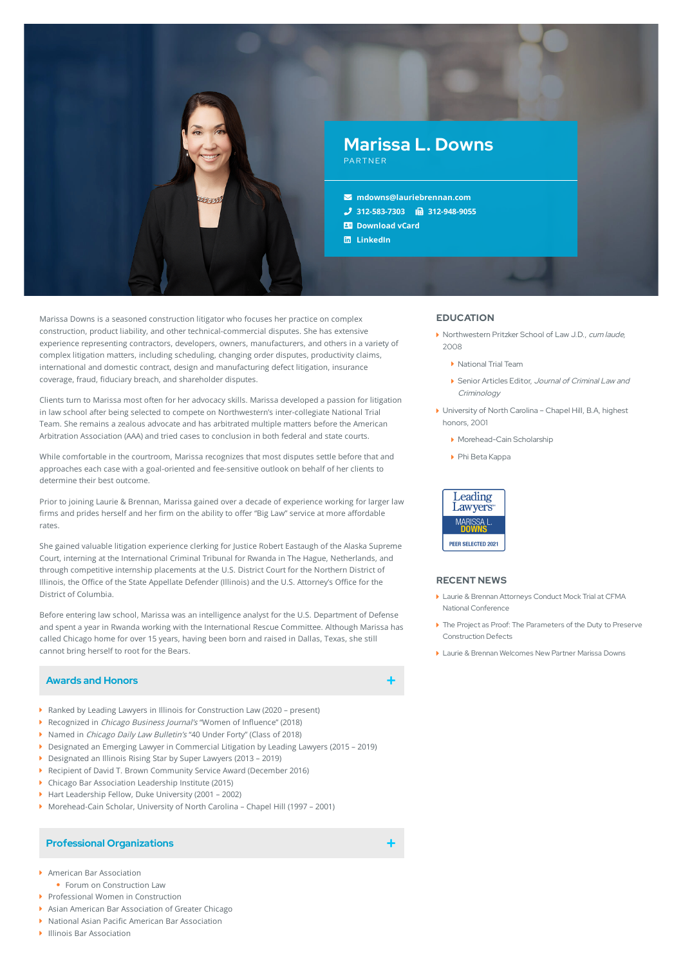

Marissa Downs is a seasoned construction litigator who focuses her practice on complex construction, product liability, and other technical-commercial disputes. She has extensive experience representing contractors, developers, owners, manufacturers, and others in a variety of complex litigation matters, including scheduling, changing order disputes, productivity claims, international and domestic contract, design and manufacturing defect litigation, insurance coverage, fraud, fiduciary breach, and shareholder disputes.

Clients turn to Marissa most often for her advocacy skills. Marissa developed a passion for litigation in law school after being selected to compete on Northwestern's inter-collegiate National Trial Team. She remains a zealous advocate and has arbitrated multiple matters before the American Arbitration Association (AAA) and tried cases to conclusion in both federal and state courts.

While comfortable in the courtroom, Marissa recognizes that most disputes settle before that and approaches each case with a goal-oriented and fee-sensitive outlook on behalf of her clients to determine their best outcome.

Prior to joining Laurie & Brennan, Marissa gained over a decade of experience working for larger law firms and prides herself and her firm on the ability to offer "Big Law" service at more affordable rates.

She gained valuable litigation experience clerking for Justice Robert Eastaugh of the Alaska Supreme Court, interning at the International Criminal Tribunal for Rwanda in The Hague, Netherlands, and through competitive internship placements at the U.S. District Court for the Northern District of Illinois, the Office of the State Appellate Defender (Illinois) and the U.S. Attorney's Office for the District of Columbia.

Before entering law school, Marissa was an intelligence analyst for the U.S. Department of Defense and spent a year in Rwanda working with the International Rescue Committee. Although Marissa has called Chicago home for over 15 years, having been born and raised in Dallas, Texas, she still cannot bring herself to root for the Bears.

# **Awards and Honors**

- ▶ Ranked by Leading Lawyers in Illinois for Construction Law (2020 present)
- Recognized in *Chicago Business Journal's* "Women of Influence" (2018)
- ▶ Named in *Chicago Daily Law Bulletin's* "40 Under Forty" (Class of 2018)
- Designated an Emerging Lawyer in Commercial Litigation by Leading Lawyers (2015 2019)
- Designated an Illinois Rising Star by Super Lawyers (2013 2019)
- Recipient of David T. Brown Community Service Award (December 2016)
- Chicago Bar Association Leadership Institute (2015)
- ▶ Hart Leadership Fellow, Duke University (2001 2002)
- Morehead-Cain Scholar, University of North Carolina Chapel Hill (1997 2001)

### **Professional Organizations**

- American Bar Association
- **Forum on Construction Law**
- Professional Women in Construction
- Asian American Bar Association of Greater Chicago
- National Asian Pacific American Bar Association
- Illinois Bar Association

## **EDUCATION**

- Northwestern Pritzker School of Law J.D., cum laude, 2008
	- ▶ National Trial Team
	- Senior Articles Editor, Journal of Criminal Law and **Criminology**
- University of North Carolina Chapel Hill, B.A, highest honors, 2001
	- Morehead-Cain Scholarship
	- Phi Beta Kappa



## **RECENT NEWS**

- Laurie & Brennan Attorneys Conduct Mock Trial at CFMA National [Conference](https://www.lauriebrennan.com/blog/laurie-brennan-attorneys-conduct-mock-trial-at-cfma-national-conference/)
- The Project as Proof: The Parameters of the Duty to Preserve [Construction](https://www.lauriebrennan.com/blog/the-project-as-proof-the-parameters-of-the-duty-to-preserve-construction-defects/) Defects
- ▶ Laurie & Brennan [Welcomes](https://www.lauriebrennan.com/blog/laurie-brennan-welcomes-new-partner-marissa-l-downs/) New Partner Marissa Downs